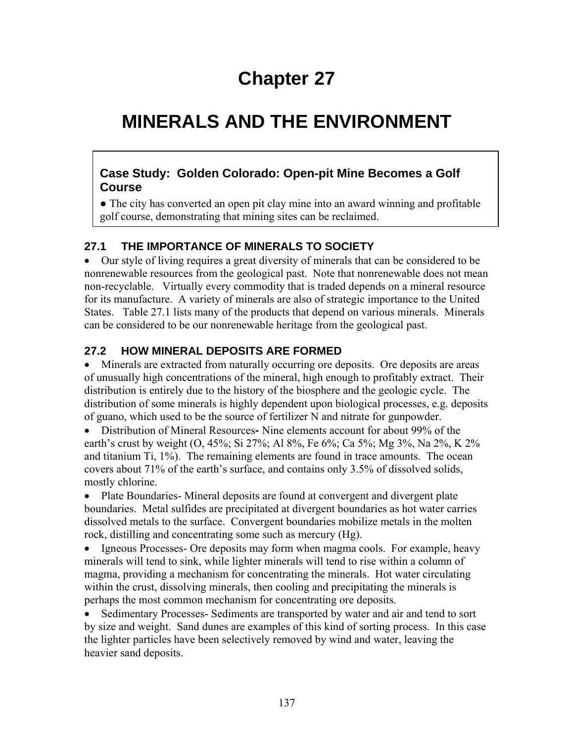# **Chapter 27**

# **MINERALS AND THE ENVIRONMENT**

#### **Case Study: Golden Colorado: Open-pit Mine Becomes a Golf Course**

● The city has converted an open pit clay mine into an award winning and profitable golf course, demonstrating that mining sites can be reclaimed.

#### **27.1 THE IMPORTANCE OF MINERALS TO SOCIETY**

• Our style of living requires a great diversity of minerals that can be considered to be nonrenewable resources from the geological past. Note that nonrenewable does not mean non-recyclable. Virtually every commodity that is traded depends on a mineral resource for its manufacture. A variety of minerals are also of strategic importance to the United States. Table 27.1 lists many of the products that depend on various minerals. Minerals can be considered to be our nonrenewable heritage from the geological past.

### **27.2 HOW MINERAL DEPOSITS ARE FORMED**

• Minerals are extracted from naturally occurring ore deposits. Ore deposits are areas of unusually high concentrations of the mineral, high enough to profitably extract. Their distribution is entirely due to the history of the biosphere and the geologic cycle. The distribution of some minerals is highly dependent upon biological processes, e.g. deposits of guano, which used to be the source of fertilizer N and nitrate for gunpowder.

• Distribution of Mineral Resources**-** Nine elements account for about 99% of the earth's crust by weight (O, 45%; Si 27%; Al 8%, Fe 6%; Ca 5%; Mg 3%, Na 2%, K 2% and titanium Ti, 1%). The remaining elements are found in trace amounts. The ocean covers about 71% of the earth's surface, and contains only 3.5% of dissolved solids, mostly chlorine.

• Plate Boundaries-Mineral deposits are found at convergent and divergent plate boundaries. Metal sulfides are precipitated at divergent boundaries as hot water carries dissolved metals to the surface. Convergent boundaries mobilize metals in the molten rock, distilling and concentrating some such as mercury (Hg).

• Igneous Processes- Ore deposits may form when magma cools. For example, heavy minerals will tend to sink, while lighter minerals will tend to rise within a column of magma, providing a mechanism for concentrating the minerals. Hot water circulating within the crust, dissolving minerals, then cooling and precipitating the minerals is perhaps the most common mechanism for concentrating ore deposits.

• Sedimentary Processes- Sediments are transported by water and air and tend to sort by size and weight. Sand dunes are examples of this kind of sorting process. In this case the lighter particles have been selectively removed by wind and water, leaving the heavier sand deposits.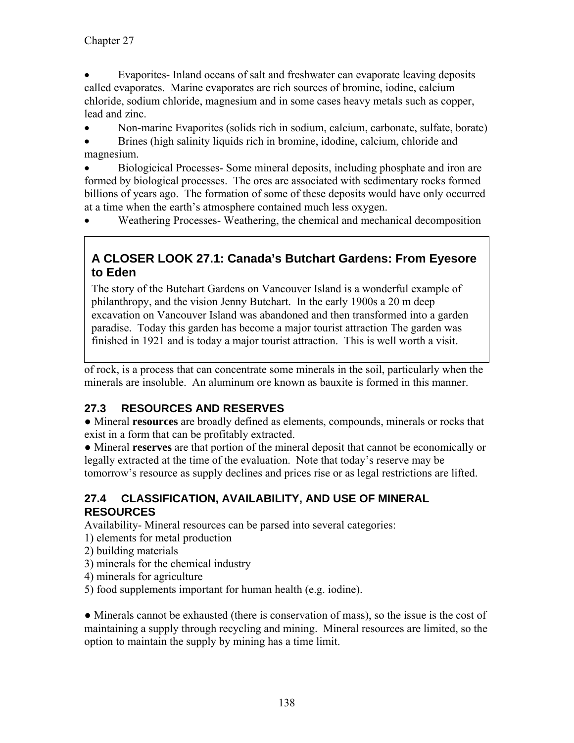• Evaporites- Inland oceans of salt and freshwater can evaporate leaving deposits called evaporates. Marine evaporates are rich sources of bromine, iodine, calcium chloride, sodium chloride, magnesium and in some cases heavy metals such as copper, lead and zinc.

• Non-marine Evaporites (solids rich in sodium, calcium, carbonate, sulfate, borate)

• Brines (high salinity liquids rich in bromine, idodine, calcium, chloride and magnesium.

• Biologicical Processes- Some mineral deposits, including phosphate and iron are formed by biological processes. The ores are associated with sedimentary rocks formed billions of years ago. The formation of some of these deposits would have only occurred at a time when the earth's atmosphere contained much less oxygen.

• Weathering Processes- Weathering, the chemical and mechanical decomposition

## **A CLOSER LOOK 27.1: Canada's Butchart Gardens: From Eyesore to Eden**

The story of the Butchart Gardens on Vancouver Island is a wonderful example of philanthropy, and the vision Jenny Butchart. In the early 1900s a 20 m deep excavation on Vancouver Island was abandoned and then transformed into a garden paradise. Today this garden has become a major tourist attraction The garden was finished in 1921 and is today a major tourist attraction. This is well worth a visit.

of rock, is a process that can concentrate some minerals in the soil, particularly when the minerals are insoluble. An aluminum ore known as bauxite is formed in this manner.

## **27.3 RESOURCES AND RESERVES**

● Mineral **resources** are broadly defined as elements, compounds, minerals or rocks that exist in a form that can be profitably extracted.

● Mineral **reserves** are that portion of the mineral deposit that cannot be economically or legally extracted at the time of the evaluation. Note that today's reserve may be tomorrow's resource as supply declines and prices rise or as legal restrictions are lifted.

### **27.4 CLASSIFICATION, AVAILABILITY, AND USE OF MINERAL RESOURCES**

Availability- Mineral resources can be parsed into several categories:

- 1) elements for metal production
- 2) building materials
- 3) minerals for the chemical industry
- 4) minerals for agriculture
- 5) food supplements important for human health (e.g. iodine).

• Minerals cannot be exhausted (there is conservation of mass), so the issue is the cost of maintaining a supply through recycling and mining. Mineral resources are limited, so the option to maintain the supply by mining has a time limit.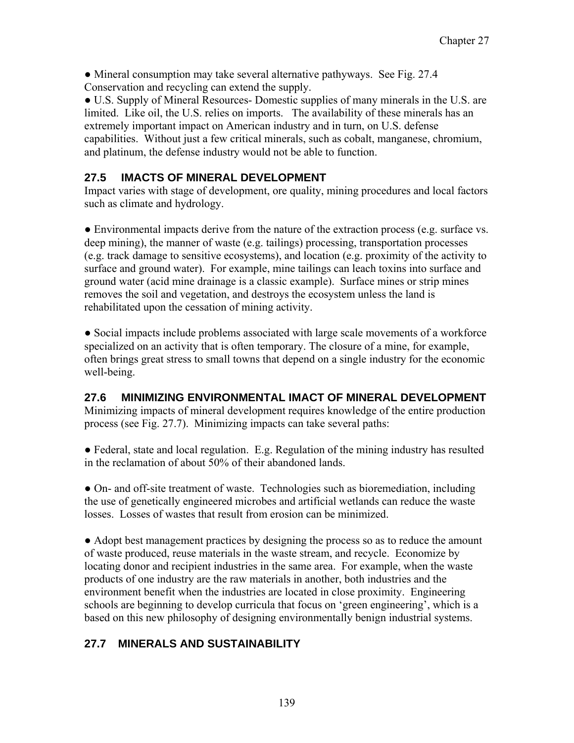• Mineral consumption may take several alternative pathyways. See Fig. 27.4 Conservation and recycling can extend the supply.

● U.S. Supply of Mineral Resources- Domestic supplies of many minerals in the U.S. are limited. Like oil, the U.S. relies on imports. The availability of these minerals has an extremely important impact on American industry and in turn, on U.S. defense capabilities. Without just a few critical minerals, such as cobalt, manganese, chromium, and platinum, the defense industry would not be able to function.

#### **27.5 IMACTS OF MINERAL DEVELOPMENT**

Impact varies with stage of development, ore quality, mining procedures and local factors such as climate and hydrology.

● Environmental impacts derive from the nature of the extraction process (e.g. surface vs. deep mining), the manner of waste (e.g. tailings) processing, transportation processes (e.g. track damage to sensitive ecosystems), and location (e.g. proximity of the activity to surface and ground water). For example, mine tailings can leach toxins into surface and ground water (acid mine drainage is a classic example). Surface mines or strip mines removes the soil and vegetation, and destroys the ecosystem unless the land is rehabilitated upon the cessation of mining activity.

• Social impacts include problems associated with large scale movements of a workforce specialized on an activity that is often temporary. The closure of a mine, for example, often brings great stress to small towns that depend on a single industry for the economic well-being.

#### **27.6 MINIMIZING ENVIRONMENTAL IMACT OF MINERAL DEVELOPMENT**

Minimizing impacts of mineral development requires knowledge of the entire production process (see Fig. 27.7). Minimizing impacts can take several paths:

● Federal, state and local regulation. E.g. Regulation of the mining industry has resulted in the reclamation of about 50% of their abandoned lands.

• On- and off-site treatment of waste. Technologies such as bioremediation, including the use of genetically engineered microbes and artificial wetlands can reduce the waste losses. Losses of wastes that result from erosion can be minimized.

• Adopt best management practices by designing the process so as to reduce the amount of waste produced, reuse materials in the waste stream, and recycle. Economize by locating donor and recipient industries in the same area. For example, when the waste products of one industry are the raw materials in another, both industries and the environment benefit when the industries are located in close proximity. Engineering schools are beginning to develop curricula that focus on 'green engineering', which is a based on this new philosophy of designing environmentally benign industrial systems.

## **27.7 MINERALS AND SUSTAINABILITY**